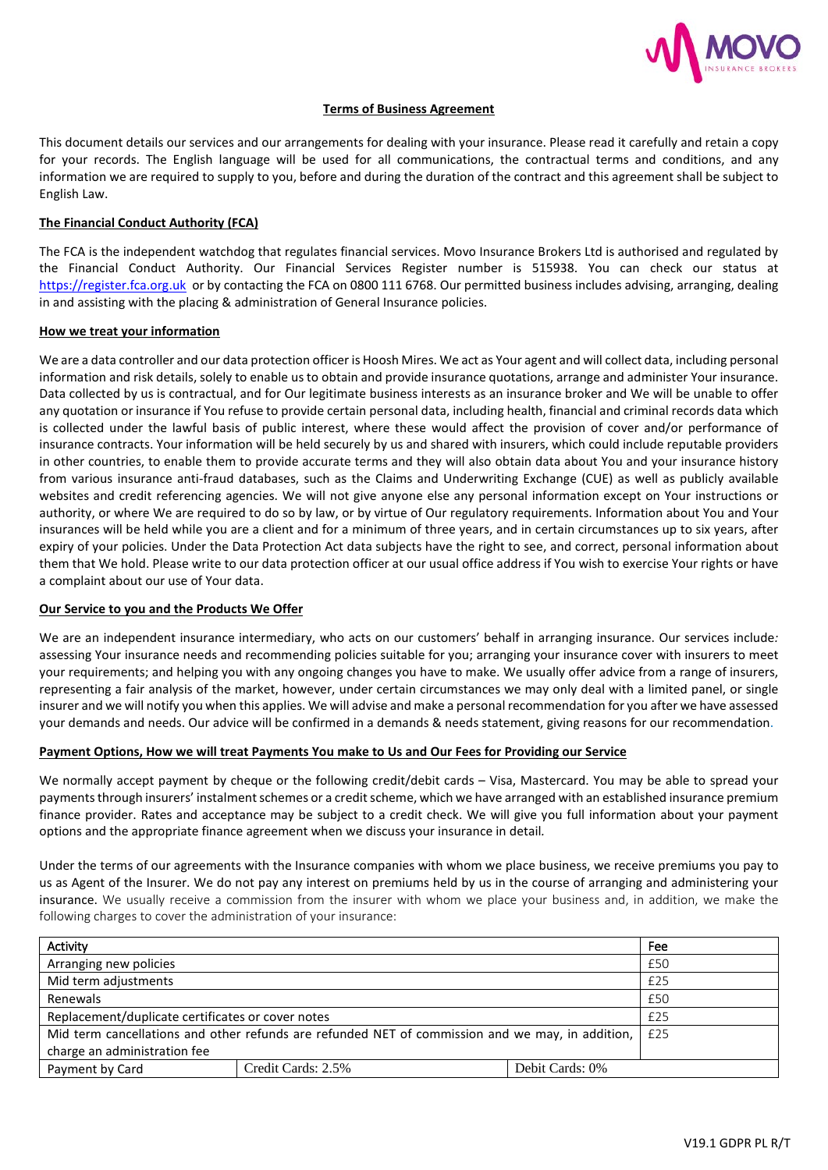

# **Terms of Business Agreement**

This document details our services and our arrangements for dealing with your insurance. Please read it carefully and retain a copy for your records. The English language will be used for all communications, the contractual terms and conditions, and any information we are required to supply to you, before and during the duration of the contract and this agreement shall be subject to English Law.

### **The Financial Conduct Authority (FCA)**

The FCA is the independent watchdog that regulates financial services. Movo Insurance Brokers Ltd is authorised and regulated by the Financial Conduct Authority. Our Financial Services Register number is 515938. You can check our status at [https://register.fca.org.uk](https://register.fca.org.uk/) or by contacting the FCA on 0800 111 6768. Our permitted business includes advising, arranging, dealing in and assisting with the placing & administration of General Insurance policies.

### **How we treat your information**

We are a data controller and our data protection officer is Hoosh Mires. We act as Your agent and will collect data, including personal information and risk details, solely to enable us to obtain and provide insurance quotations, arrange and administer Your insurance. Data collected by us is contractual, and for Our legitimate business interests as an insurance broker and We will be unable to offer any quotation or insurance if You refuse to provide certain personal data, including health, financial and criminal records data which is collected under the lawful basis of public interest, where these would affect the provision of cover and/or performance of insurance contracts. Your information will be held securely by us and shared with insurers, which could include reputable providers in other countries, to enable them to provide accurate terms and they will also obtain data about You and your insurance history from various insurance anti-fraud databases, such as the Claims and Underwriting Exchange (CUE) as well as publicly available websites and credit referencing agencies. We will not give anyone else any personal information except on Your instructions or authority, or where We are required to do so by law, or by virtue of Our regulatory requirements. Information about You and Your insurances will be held while you are a client and for a minimum of three years, and in certain circumstances up to six years, after expiry of your policies. Under the Data Protection Act data subjects have the right to see, and correct, personal information about them that We hold. Please write to our data protection officer at our usual office address if You wish to exercise Your rights or have a complaint about our use of Your data.

### **Our Service to you and the Products We Offer**

We are an independent insurance intermediary, who acts on our customers' behalf in arranging insurance. Our services include*:*  assessing Your insurance needs and recommending policies suitable for you; arranging your insurance cover with insurers to meet your requirements; and helping you with any ongoing changes you have to make. We usually offer advice from a range of insurers, representing a fair analysis of the market, however, under certain circumstances we may only deal with a limited panel, or single insurer and we will notify you when this applies. We will advise and make a personal recommendation for you after we have assessed your demands and needs. Our advice will be confirmed in a demands & needs statement, giving reasons for our recommendation.

### **Payment Options, How we will treat Payments You make to Us and Our Fees for Providing our Service**

We normally accept payment by cheque or the following credit/debit cards – Visa, Mastercard. You may be able to spread your payments through insurers' instalment schemes or a credit scheme, which we have arranged with an established insurance premium finance provider. Rates and acceptance may be subject to a credit check. We will give you full information about your payment options and the appropriate finance agreement when we discuss your insurance in detail*.*

Under the terms of our agreements with the Insurance companies with whom we place business, we receive premiums you pay to us as Agent of the Insurer. We do not pay any interest on premiums held by us in the course of arranging and administering your insurance. We usually receive a commission from the insurer with whom we place your business and, in addition, we make the following charges to cover the administration of your insurance:

| Activity                                                                                                    |                    |                 | Fee |
|-------------------------------------------------------------------------------------------------------------|--------------------|-----------------|-----|
| Arranging new policies                                                                                      |                    |                 | £50 |
| Mid term adjustments                                                                                        |                    |                 | £25 |
| Renewals                                                                                                    |                    |                 | £50 |
| Replacement/duplicate certificates or cover notes                                                           |                    |                 | £25 |
| Mid term cancellations and other refunds are refunded NET of commission and we may, in addition, $\mid$ £25 |                    |                 |     |
| charge an administration fee                                                                                |                    |                 |     |
| Payment by Card                                                                                             | Credit Cards: 2.5% | Debit Cards: 0% |     |